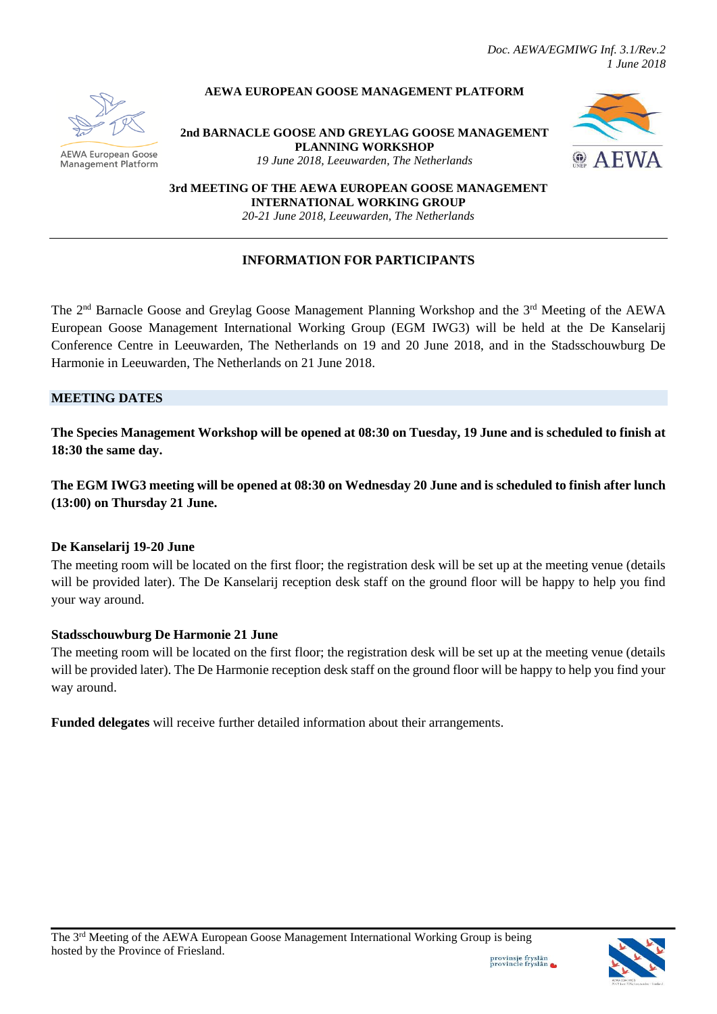*Doc. AEWA/EGMIWG Inf. 3.1/Rev.2 1 June 2018*



**AEWA European Goose** Management Platform

### **AEWA EUROPEAN GOOSE MANAGEMENT PLATFORM**

**2nd BARNACLE GOOSE AND GREYLAG GOOSE MANAGEMENT PLANNING WORKSHOP** *19 June 2018, Leeuwarden, The Netherlands*



**3rd MEETING OF THE AEWA EUROPEAN GOOSE MANAGEMENT INTERNATIONAL WORKING GROUP**

*20-21 June 2018, Leeuwarden, The Netherlands*

# **INFORMATION FOR PARTICIPANTS**

The 2<sup>nd</sup> Barnacle Goose and Greylag Goose Management Planning Workshop and the 3<sup>rd</sup> Meeting of the AEWA European Goose Management International Working Group (EGM IWG3) will be held at the De Kanselarij Conference Centre in Leeuwarden, The Netherlands on 19 and 20 June 2018, and in the Stadsschouwburg De Harmonie in Leeuwarden, The Netherlands on 21 June 2018.

## **MEETING DATES**

**The Species Management Workshop will be opened at 08:30 on Tuesday, 19 June and is scheduled to finish at 18:30 the same day.** 

**The EGM IWG3 meeting will be opened at 08:30 on Wednesday 20 June and is scheduled to finish after lunch (13:00) on Thursday 21 June.**

## **De Kanselarij 19-20 June**

The meeting room will be located on the first floor; the registration desk will be set up at the meeting venue (details will be provided later). The De Kanselarij reception desk staff on the ground floor will be happy to help you find your way around.

## **Stadsschouwburg De Harmonie 21 June**

The meeting room will be located on the first floor; the registration desk will be set up at the meeting venue (details will be provided later). The De Harmonie reception desk staff on the ground floor will be happy to help you find your way around.

**Funded delegates** will receive further detailed information about their arrangements.

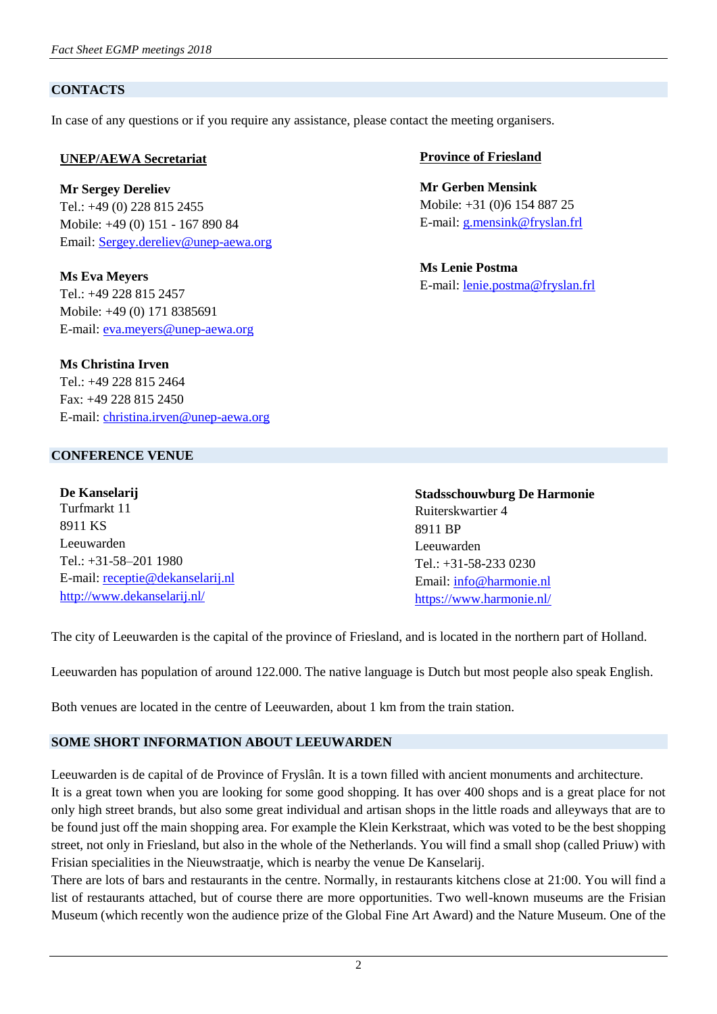## **CONTACTS**

In case of any questions or if you require any assistance, please contact the meeting organisers.

### **UNEP/AEWA Secretariat**

**Mr Sergey Dereliev**  Tel.: +49 (0) 228 815 2455 Mobile: +49 (0) 151 - 167 890 84 Email: [Sergey.dereliev@unep-aewa.org](mailto:Sergey.dereliev@unep-aewa.org)

**Ms Eva Meyers** Tel.: +49 228 815 2457 Mobile: +49 (0) 171 8385691 E-mail: [eva.meyers@unep-aewa.org](mailto:eva.meyers@unep-aewa.org)

**Ms Christina Irven** Tel.: +49 228 815 2464 Fax: +49 228 815 2450 E-mail: [christina.irven@unep-aewa.org](mailto:christina.irven@unep-aewa.org)

### **CONFERENCE VENUE**

**Province of Friesland**

**Mr Gerben Mensink** Mobile: +31 (0)6 154 887 25 E-mail: [g.mensink@fryslan.frl](mailto:g.mensink@fryslan.frl)

**Ms Lenie Postma** E-mail: [lenie.postma@fryslan.frl](file:///C:/Users/christina.irven/AppData/Local/Microsoft/Windows/INetCache/Content.Outlook/T1DPHX6R/lenie.postma@fryslan.frl)

| De Kanselarij                    | <b>Stadsschouwburg De Harmonie</b> |
|----------------------------------|------------------------------------|
| Turfmarkt 11                     | Ruiterskwartier 4                  |
| 8911 KS                          | 8911 BP                            |
| Leeuwarden                       | Leeuwarden                         |
| Tel.: $+31-58-201$ 1980          | Tel.: $+31-58-2330230$             |
| E-mail: receptie@dekanselarij.nl | Email: info@harmonie.nl            |
| http://www.dekanselarij.nl/      | https://www.harmonie.nl/           |

The city of Leeuwarden is the capital of the province of Friesland, and is located in the northern part of Holland.

Leeuwarden has population of around 122.000. The native language is Dutch but most people also speak English.

Both venues are located in the centre of Leeuwarden, about 1 km from the train station.

## **SOME SHORT INFORMATION ABOUT LEEUWARDEN**

Leeuwarden is de capital of de Province of Fryslân. It is a town filled with ancient monuments and architecture.

It is a great town when you are looking for some good shopping. It has over 400 shops and is a great place for not only high street brands, but also some great individual and artisan shops in the little roads and alleyways that are to be found just off the main shopping area. For example the Klein Kerkstraat, which was voted to be the best shopping street, not only in Friesland, but also in the whole of the Netherlands. You will find a small shop (called Priuw) with Frisian specialities in the Nieuwstraatje, which is nearby the venue De Kanselarij.

There are lots of bars and restaurants in the centre. Normally, in restaurants kitchens close at 21:00. You will find a list of restaurants attached, but of course there are more opportunities. Two well-known museums are the Frisian Museum (which recently won the audience prize of the Global Fine Art Award) and the Nature Museum. One of the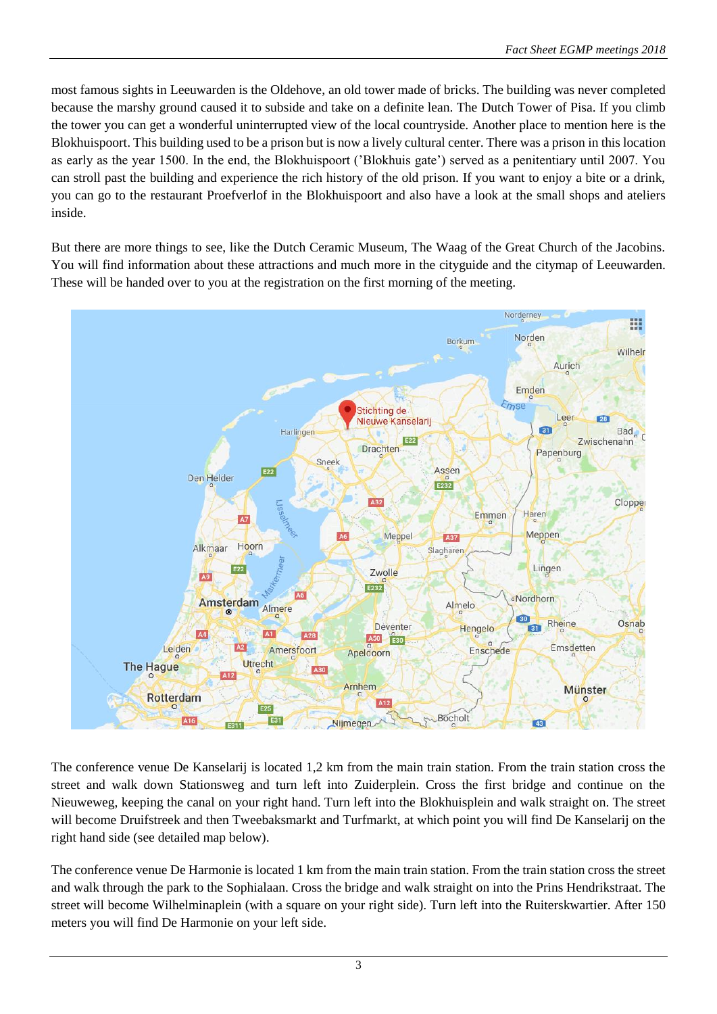most famous sights in Leeuwarden is the Oldehove, an old tower made of bricks. The building was never completed because the marshy ground caused it to subside and take on a definite lean. The Dutch Tower of Pisa. If you climb the tower you can get a wonderful uninterrupted view of the local countryside. Another place to mention here is the Blokhuispoort. This building used to be a prison but is now a lively cultural center. There was a prison in this location as early as the year 1500. In the end, the Blokhuispoort ('Blokhuis gate') served as a penitentiary until 2007. You can stroll past the building and experience the rich history of the old prison. If you want to enjoy a bite or a drink, you can go to the restaurant Proefverlof in the Blokhuispoort and also have a look at the small shops and ateliers inside.

But there are more things to see, like the Dutch Ceramic Museum, The Waag of the Great Church of the Jacobins. You will find information about these attractions and much more in the cityguide and the citymap of Leeuwarden. These will be handed over to you at the registration on the first morning of the meeting.



The conference venue De Kanselarij is located 1,2 km from the main train station. From the train station cross the street and walk down Stationsweg and turn left into Zuiderplein. Cross the first bridge and continue on the Nieuweweg, keeping the canal on your right hand. Turn left into the Blokhuisplein and walk straight on. The street will become Druifstreek and then Tweebaksmarkt and Turfmarkt, at which point you will find De Kanselarij on the right hand side (see detailed map below).

The conference venue De Harmonie is located 1 km from the main train station. From the train station cross the street and walk through the park to the Sophialaan. Cross the bridge and walk straight on into the Prins Hendrikstraat. The street will become Wilhelminaplein (with a square on your right side). Turn left into the Ruiterskwartier. After 150 meters you will find De Harmonie on your left side.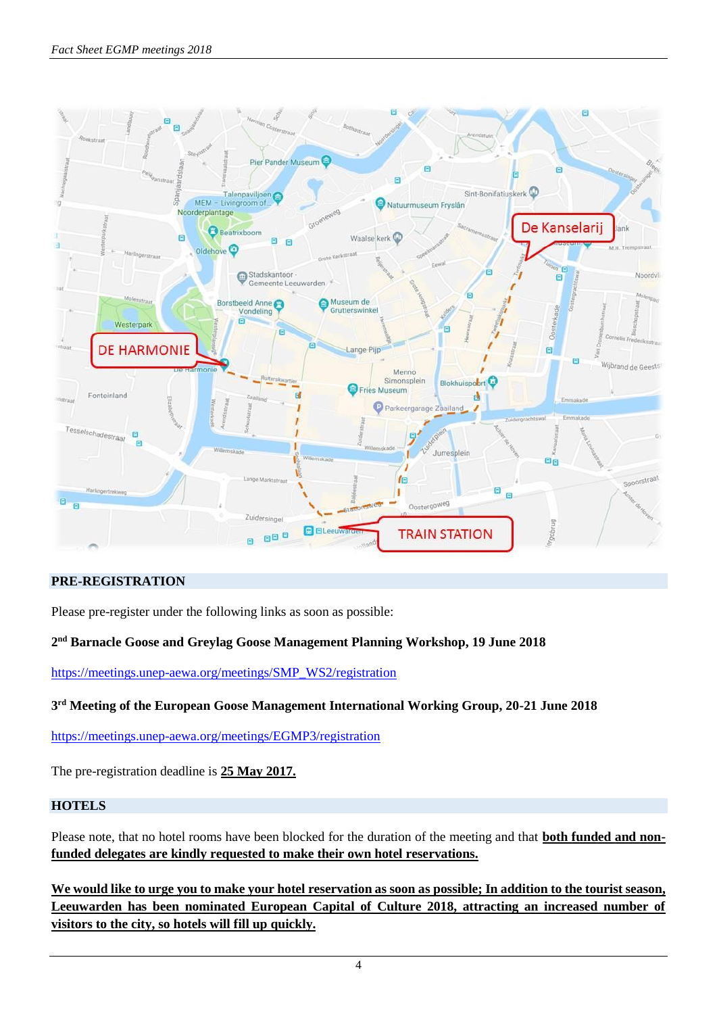

## **PRE-REGISTRATION**

Please pre-register under the following links as soon as possible:

## **2 nd Barnacle Goose and Greylag Goose Management Planning Workshop, 19 June 2018**

[https://meetings.unep-aewa.org/meetings/SMP\\_WS2/registration](https://meetings.unep-aewa.org/meetings/SMP_WS2/registration)

#### **3 rd Meeting of the European Goose Management International Working Group, 20-21 June 2018**

<https://meetings.unep-aewa.org/meetings/EGMP3/registration>

The pre-registration deadline is **25 May 2017.**

## **HOTELS**

Please note, that no hotel rooms have been blocked for the duration of the meeting and that **both funded and nonfunded delegates are kindly requested to make their own hotel reservations.** 

**We would like to urge you to make your hotel reservation as soon as possible; In addition to the tourist season, Leeuwarden has been nominated European Capital of Culture 2018, attracting an increased number of visitors to the city, so hotels will fill up quickly.**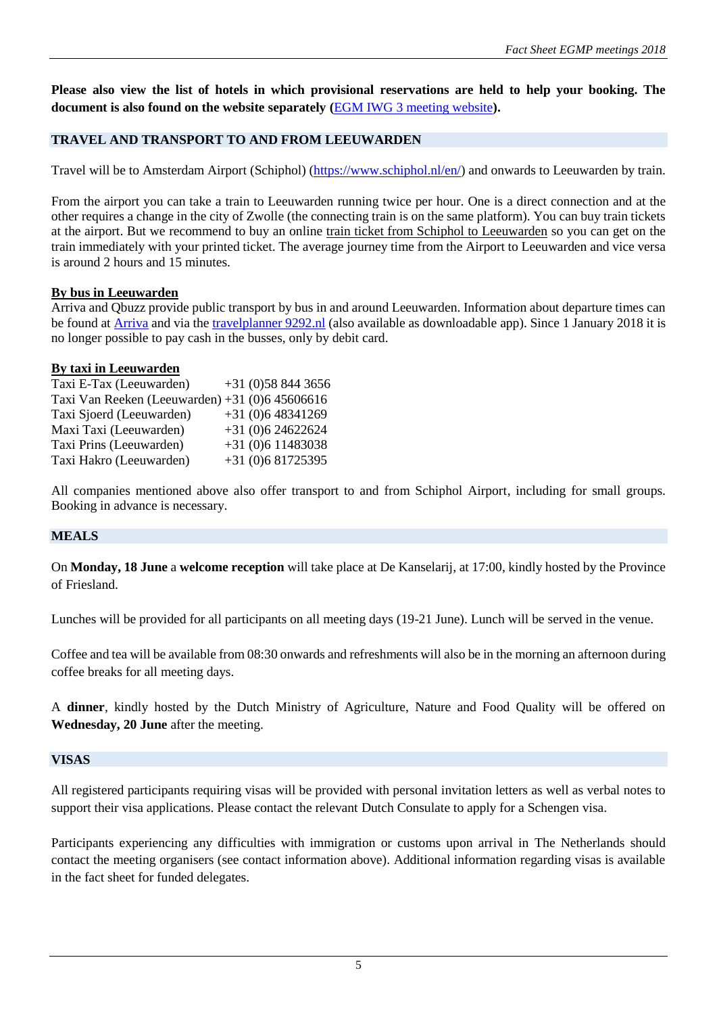**Please also view the list of hotels in which provisional reservations are held to help your booking. The document is also found on the website separately (**[EGM IWG 3 meeting website](http://www.unep-aewa.org/en/meeting/3rd-meeting-aewa-european-goose-management-international-working-group-egm-iwg3)**).**

# **TRAVEL AND TRANSPORT TO AND FROM LEEUWARDEN**

Travel will be to Amsterdam Airport (Schiphol) [\(https://www.schiphol.nl/en/\)](https://www.schiphol.nl/en/) and onwards to Leeuwarden by train.

From the airport you can take a train to Leeuwarden running twice per hour. One is a direct connection and at the other requires a change in the city of Zwolle (the connecting train is on the same platform). You can buy train tickets at the airport. But we recommend to buy an online [train ticket from Schiphol to Leeuwarden](http://adaminfo.rgi.ticketbar.eu/en/ticketbar-amsterdam/train-from-schiphol-to-amsterdam-/) so you can get on the train immediately with your printed ticket. The average journey time from the Airport to Leeuwarden and vice versa is around 2 hours and 15 minutes.

## **By bus in Leeuwarden**

Arriva and Qbuzz provide public transport by bus in and around Leeuwarden. Information about departure times can be found at [Arriva](https://www.arriva.nl/consumers/from-door-to-door.htm) and via the [travelplanner 9292.nl](https://9292.nl/en) (also available as downloadable app). Since 1 January 2018 it is no longer possible to pay cash in the busses, only by debit card.

## **By taxi in Leeuwarden**

| $+31(0)588443656$                              |
|------------------------------------------------|
| Taxi Van Reeken (Leeuwarden) +31 (0)6 45606616 |
| $+31(0)648341269$                              |
| $+31(0)624622624$                              |
| $+31(0)611483038$                              |
| $+31(0)681725395$                              |
|                                                |

All companies mentioned above also offer transport to and from Schiphol Airport, including for small groups. Booking in advance is necessary.

# **MEALS**

On **Monday, 18 June** a **welcome reception** will take place at De Kanselarij, at 17:00, kindly hosted by the Province of Friesland.

Lunches will be provided for all participants on all meeting days (19-21 June). Lunch will be served in the venue.

Coffee and tea will be available from 08:30 onwards and refreshments will also be in the morning an afternoon during coffee breaks for all meeting days.

A **dinner**, kindly hosted by the Dutch Ministry of Agriculture, Nature and Food Quality will be offered on **Wednesday, 20 June** after the meeting.

## **VISAS**

All registered participants requiring visas will be provided with personal invitation letters as well as verbal notes to support their visa applications. Please contact the relevant Dutch Consulate to apply for a Schengen visa.

Participants experiencing any difficulties with immigration or customs upon arrival in The Netherlands should contact the meeting organisers (see contact information above). Additional information regarding visas is available in the fact sheet for funded delegates.